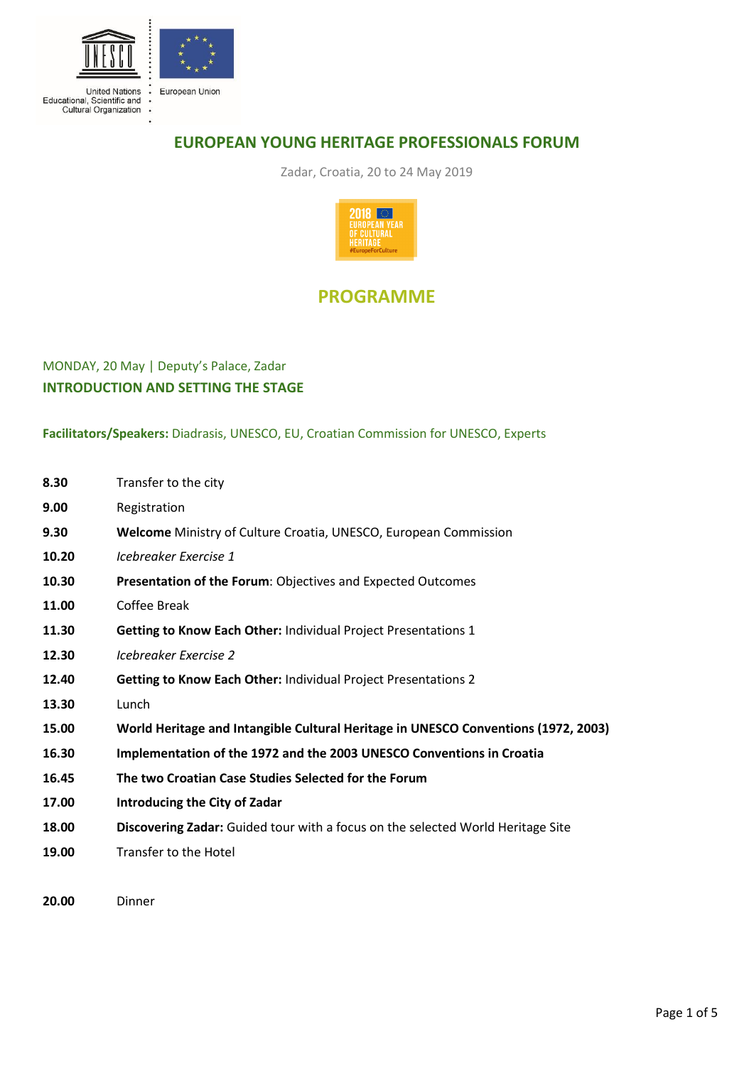

# **EUROPEAN YOUNG HERITAGE PROFESSIONALS FORUM**

Zadar, Croatia, 20 to 24 May 2019



# **PROGRAMME**

# MONDAY, 20 May | Deputy's Palace, Zadar **INTRODUCTION AND SETTING THE STAGE**

**Facilitators/Speakers:** Diadrasis, UNESCO, EU, Croatian Commission for UNESCO, Experts

| 8.30  | Transfer to the city                                                               |
|-------|------------------------------------------------------------------------------------|
| 9.00  | Registration                                                                       |
| 9.30  | Welcome Ministry of Culture Croatia, UNESCO, European Commission                   |
| 10.20 | Icebreaker Exercise 1                                                              |
| 10.30 | Presentation of the Forum: Objectives and Expected Outcomes                        |
| 11.00 | Coffee Break                                                                       |
| 11.30 | Getting to Know Each Other: Individual Project Presentations 1                     |
| 12.30 | Icebreaker Exercise 2                                                              |
| 12.40 | <b>Getting to Know Each Other: Individual Project Presentations 2</b>              |
| 13.30 | Lunch                                                                              |
| 15.00 | World Heritage and Intangible Cultural Heritage in UNESCO Conventions (1972, 2003) |
| 16.30 | Implementation of the 1972 and the 2003 UNESCO Conventions in Croatia              |
| 16.45 | The two Croatian Case Studies Selected for the Forum                               |
| 17.00 | Introducing the City of Zadar                                                      |
| 18.00 | Discovering Zadar: Guided tour with a focus on the selected World Heritage Site    |
| 19.00 | Transfer to the Hotel                                                              |
|       |                                                                                    |

**20.00** Dinner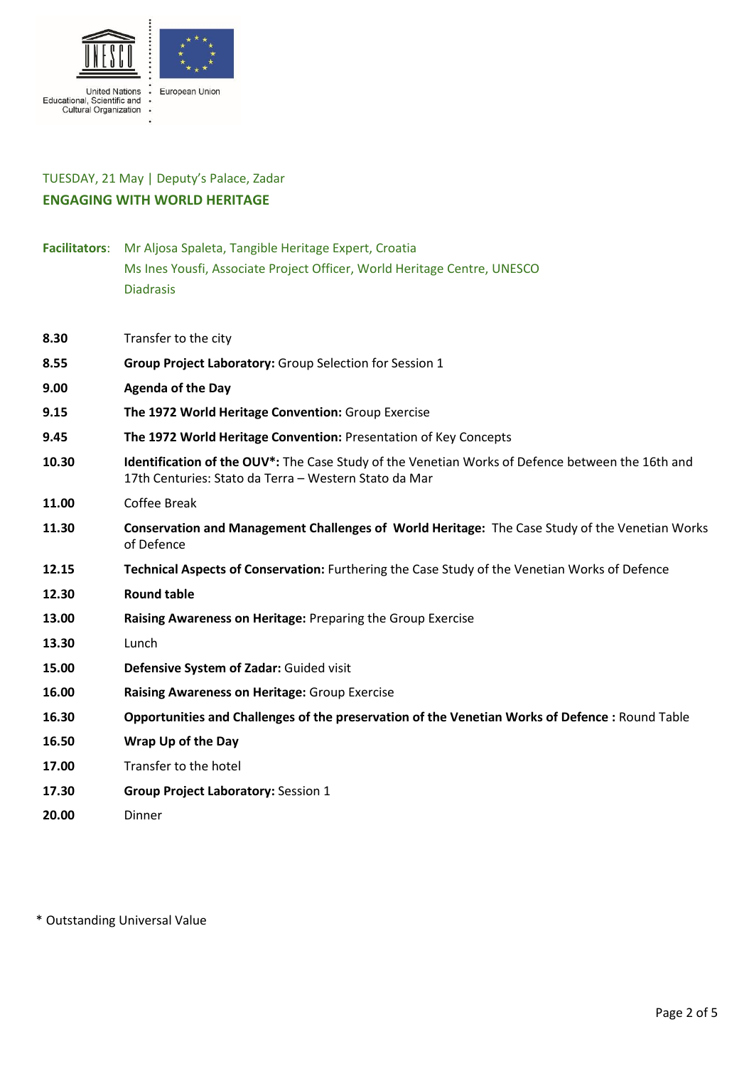

#### TUESDAY, 21 May | Deputy's Palace, Zadar **ENGAGING WITH WORLD HERITAGE**

- **Facilitators**: Mr Aljosa Spaleta, Tangible Heritage Expert, Croatia Ms Ines Yousfi, Associate Project Officer, World Heritage Centre, UNESCO Diadrasis
- **8.30** Transfer to the city
- **8.55 Group Project Laboratory:** Group Selection for Session 1
- **9.00 Agenda of the Day**
- **9.15 The 1972 World Heritage Convention:** Group Exercise
- **9.45 The 1972 World Heritage Convention:** Presentation of Key Concepts
- **10.30 Identification of the OUV\*:** The Case Study of the Venetian Works of Defence between the 16th and 17th Centuries: Stato da Terra – Western Stato da Mar
- **11.00** Coffee Break
- **11.30 Conservation and Management Challenges of World Heritage:** The Case Study of the Venetian Works of Defence
- **12.15 Technical Aspects of Conservation:** Furthering the Case Study of the Venetian Works of Defence
- **12.30 Round table**
- **13.00 Raising Awareness on Heritage:** Preparing the Group Exercise
- **13.30** Lunch
- **15.00 Defensive System of Zadar:** Guided visit
- **16.00 Raising Awareness on Heritage:** Group Exercise
- **16.30 Opportunities and Challenges of the preservation of the Venetian Works of Defence :** Round Table
- **16.50 Wrap Up of the Day**
- **17.00** Transfer to the hotel
- **17.30 Group Project Laboratory:** Session 1
- **20.00** Dinner

\* Outstanding Universal Value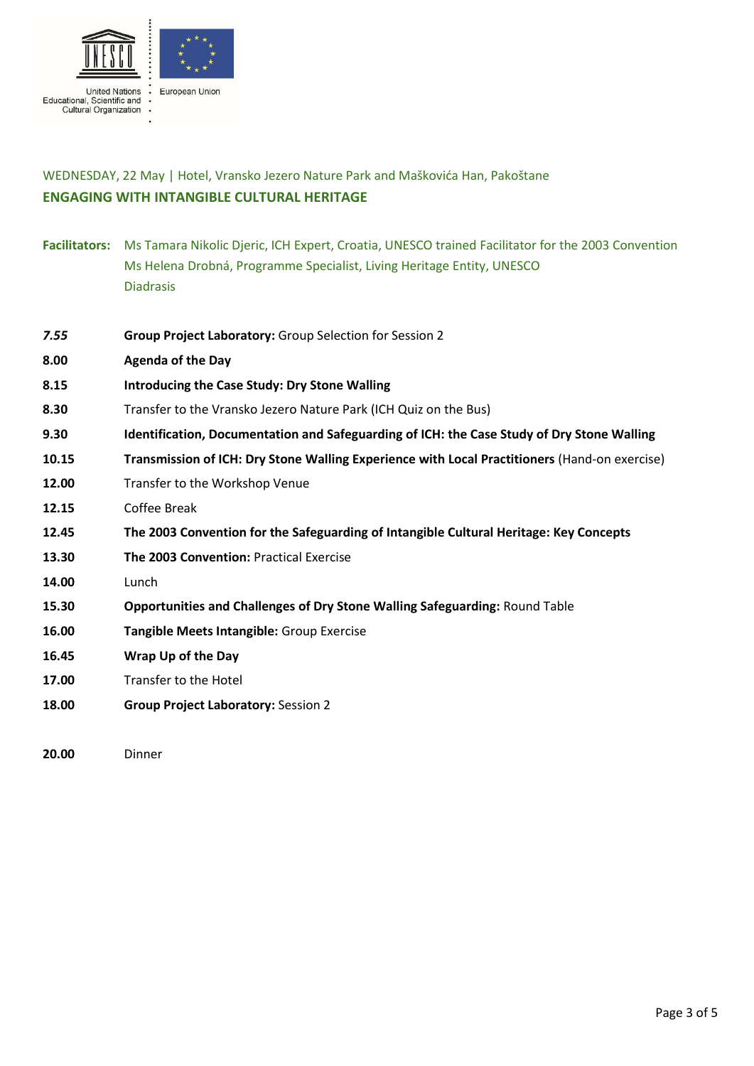

### WEDNESDAY, 22 May | Hotel, Vransko Jezero Nature Park and Maškovića Han, Pakoštane **ENGAGING WITH INTANGIBLE CULTURAL HERITAGE**

- **Facilitators:** Ms Tamara Nikolic Djeric, ICH Expert, Croatia, UNESCO trained Facilitator for the 2003 Convention Ms Helena Drobná, Programme Specialist, Living Heritage Entity, UNESCO Diadrasis
- *7.55* **Group Project Laboratory:** Group Selection for Session 2
- **8.00 Agenda of the Day**
- **8.15 Introducing the Case Study: Dry Stone Walling**
- **8.30** Transfer to the Vransko Jezero Nature Park (ICH Quiz on the Bus)
- **9.30 Identification, Documentation and Safeguarding of ICH: the Case Study of Dry Stone Walling**
- **10.15 Transmission of ICH: Dry Stone Walling Experience with Local Practitioners** (Hand-on exercise)
- **12.00** Transfer to the Workshop Venue
- **12.15** Coffee Break
- **12.45 The 2003 Convention for the Safeguarding of Intangible Cultural Heritage: Key Concepts**
- **13.30 The 2003 Convention:** Practical Exercise
- **14.00** Lunch
- **15.30 Opportunities and Challenges of Dry Stone Walling Safeguarding:** Round Table
- **16.00 Tangible Meets Intangible:** Group Exercise
- **16.45 Wrap Up of the Day**
- **17.00** Transfer to the Hotel
- **18.00 Group Project Laboratory:** Session 2

**20.00** Dinner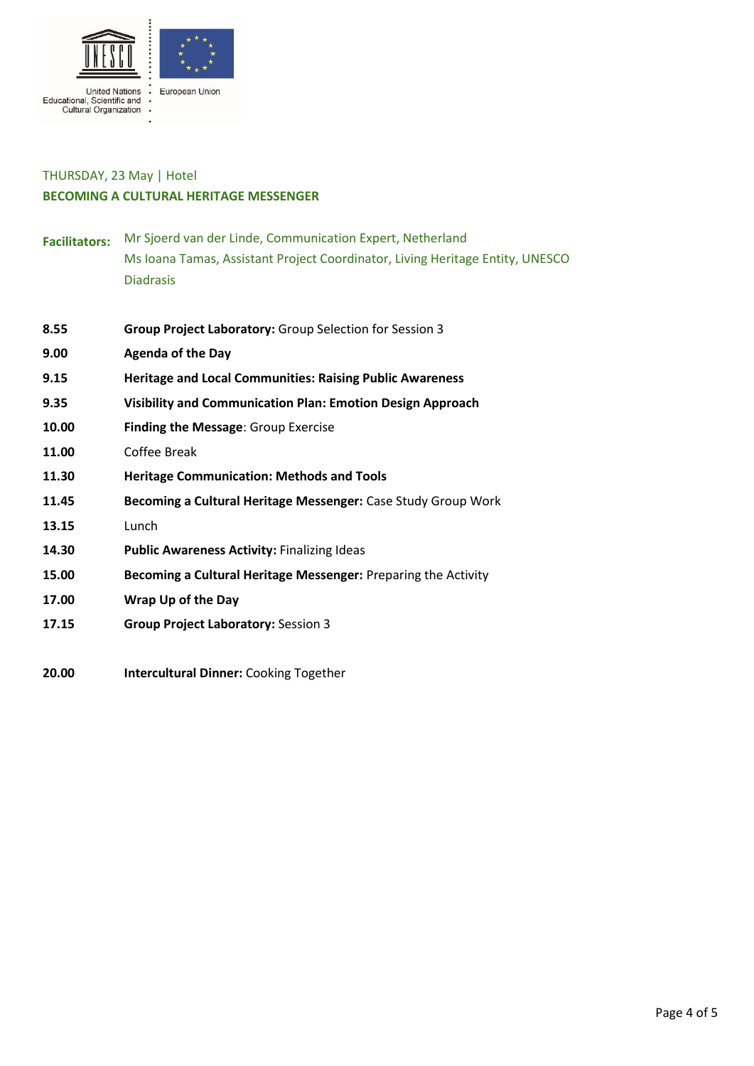

#### THURSDAY, 23 May | Hotel **BECOMING A CULTURAL HERITAGE MESSENGER**

- **Facilitators:** Mr Sjoerd van der Linde, Communication Expert, Netherland Ms Ioana Tamas, Assistant Project Coordinator, Living Heritage Entity, UNESCO Diadrasis
- **8.55 Group Project Laboratory:** Group Selection for Session 3
- **9.00 Agenda of the Day**
- **9.15 Heritage and Local Communities: Raising Public Awareness**
- **9.35 Visibility and Communication Plan: Emotion Design Approach**
- **10.00 Finding the Message**: Group Exercise
- **11.00** Coffee Break
- **11.30 Heritage Communication: Methods and Tools**
- **11.45 Becoming a Cultural Heritage Messenger:** Case Study Group Work
- **13.15** Lunch
- **14.30 Public Awareness Activity:** Finalizing Ideas
- **15.00 Becoming a Cultural Heritage Messenger:** Preparing the Activity
- **17.00 Wrap Up of the Day**
- **17.15 Group Project Laboratory:** Session 3
- **20.00 Intercultural Dinner:** Cooking Together